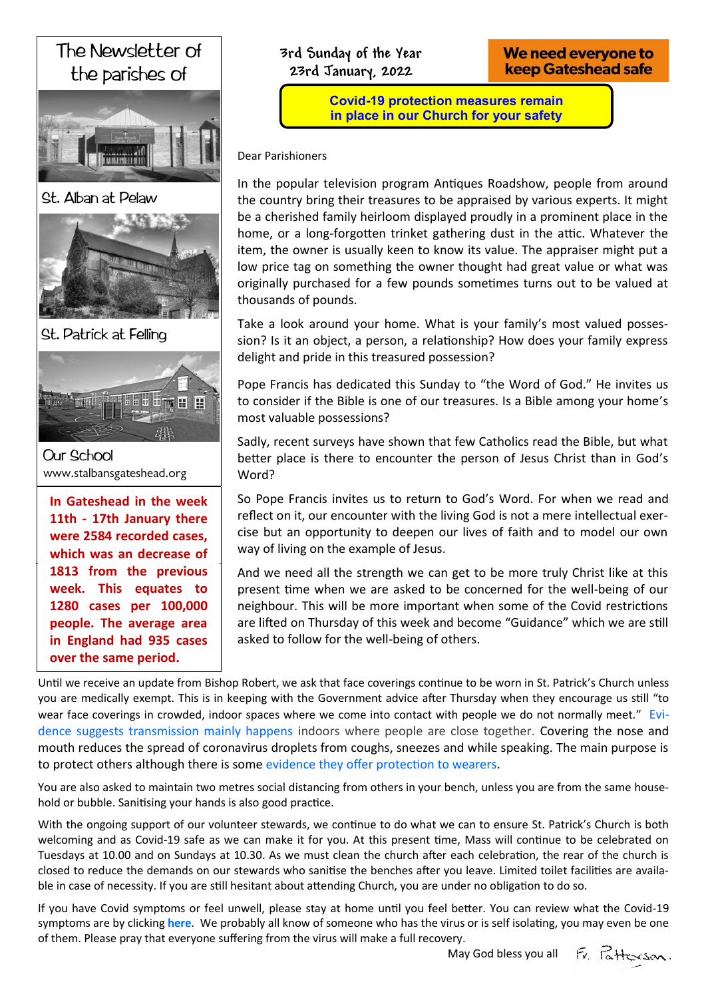# The Newsletter of the parishes of



St. Alban at Pelaw



St. Patrick at Felling



**Our School** www.stalbansgateshead.org

**In Gateshead in the week serving the Church 11th - 17th January there in the Partnership were 2584 recorded cases,**  which was an decrease of **St. Patrick's Presbytery week. This equates to**  m Tills Cyuutes<br>9 Seess Republika 1280 cases per 100,000 **Tel: 0191 495 2277 in England had 935 cases over the same period. 1813 from the previous people. The average area**  We need everyone to **keep Gateshead safe** 

**Covid-19 protection measures remain in place in our Church for your safety**

Dear Parishioners

In the popular television program Antiques Roadshow, people from around the country bring their treasures to be appraised by various experts. It might be a cherished family heirloom displayed proudly in a prominent place in the home, or a long-forgotten trinket gathering dust in the attic. Whatever the item, the owner is usually keen to know its value. The appraiser might put a low price tag on something the owner thought had great value or what was originally purchased for a few pounds sometimes turns out to be valued at thousands of pounds.

Take a look around your home. What is your family's most valued possession? Is it an object, a person, a relationship? How does your family express delight and pride in this treasured possession?

Pope Francis has dedicated this Sunday to "the Word of God." He invites us to consider if the Bible is one of our treasures. Is a Bible among your home's most valuable possessions?

Sadly, recent surveys have shown that few Catholics read the Bible, but what better place is there to encounter the person of Jesus Christ than in God's Word?

So Pope Francis invites us to return to God's Word. For when we read and reflect on it, our encounter with the living God is not a mere intellectual exercise but an opportunity to deepen our lives of faith and to model our own way of living on the example of Jesus.

And we need all the strength we can get to be more truly Christ like at this present time when we are asked to be concerned for the well-being of our neighbour. This will be more important when some of the Covid restrictions are lifted on Thursday of this week and become "Guidance" which we are still asked to follow for the well-being of others.

Until we receive an update from Bishop Robert, we ask that face coverings continue to be worn in St. Patrick's Church unless you are medically exempt. This is in keeping with the Government advice after Thursday when they encourage us still "to wear face coverings in crowded, indoor spaces where we come into contact with people we do not normally meet." [Evi](https://assets.publishing.service.gov.uk/government/uploads/system/uploads/attachment_data/file/892043/S0484_Transmission_of_SARS-CoV-2_and_Mitigating_Measures.pdf)[dence suggests transmission mainly happens](https://assets.publishing.service.gov.uk/government/uploads/system/uploads/attachment_data/file/892043/S0484_Transmission_of_SARS-CoV-2_and_Mitigating_Measures.pdf) indoors where people are close together. Covering the nose and mouth reduces the spread of coronavirus droplets from coughs, sneezes and while speaking. The main purpose is to protect others although there is some [evidence they offer protection to wearers.](https://www.bbc.co.uk/news/uk-53316491)

You are also asked to maintain two metres social distancing from others in your bench, unless you are from the same household or bubble. Sanitising your hands is also good practice.

With the ongoing support of our volunteer stewards, we continue to do what we can to ensure St. Patrick's Church is both welcoming and as Covid-19 safe as we can make it for you. At this present time, Mass will continue to be celebrated on Tuesdays at 10.00 and on Sundays at 10.30. As we must clean the church after each celebration, the rear of the church is closed to reduce the demands on our stewards who sanitise the benches after you leave. Limited toilet facilities are available in case of necessity. If you are still hesitant about attending Church, you are under no obligation to do so.

If you have Covid symptoms or feel unwell, please stay at home until you feel better. You can review what the Covid-19 symptoms are by clicking **[here](https://joinzoe.com/learn/omicron-symptoms?utm_source=covid-app&utm_medium=referral)**. We probably all know of someone who has the virus or is self isolating, you may even be one of them. Please pray that everyone suffering from the virus will make a full recovery.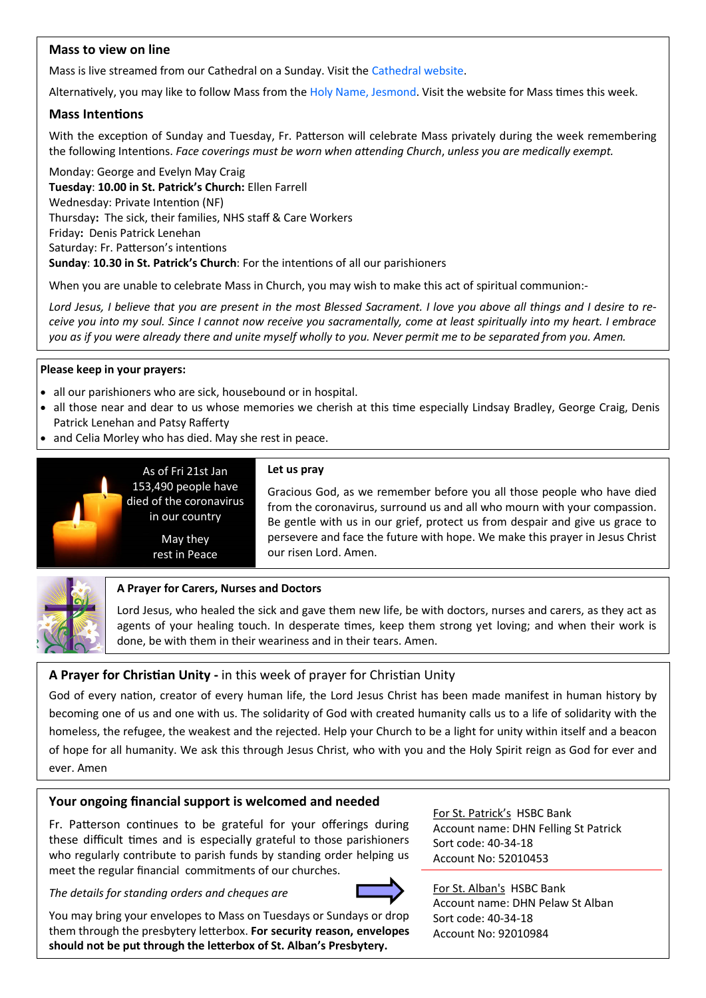# **Mass to view on line**

Mass is live streamed from our Cathedral on a Sunday. Visit the [Cathedral website.](https://www.youtube.com/channel/UC12EvW0Eqg-cFTh5i2y_EQw)

Alternatively, you may like to follow Mass from the [Holy Name, Jesmond.](https://www.youtube.com/channel/UCnVss0mkVR2GKS5VPJOEsDA) Visit the website for Mass times this week.

## **Mass Intentions**

With the exception of Sunday and Tuesday, Fr. Patterson will celebrate Mass privately during the week remembering the following Intentions. *Face coverings must be worn when attending Church*, *unless you are medically exempt.*

Monday: George and Evelyn May Craig **Tuesday**: **10.00 in St. Patrick's Church:** Ellen Farrell Wednesday: Private Intention (NF) Thursday**:** The sick, their families, NHS staff & Care Workers Friday**:** Denis Patrick Lenehan Saturday: Fr. Patterson's intentions **Sunday**: **10.30 in St. Patrick's Church**: For the intentions of all our parishioners

When you are unable to celebrate Mass in Church, you may wish to make this act of spiritual communion:-

*Lord Jesus, I believe that you are present in the most Blessed Sacrament. I love you above all things and I desire to receive you into my soul. Since I cannot now receive you sacramentally, come at least spiritually into my heart. I embrace you as if you were already there and unite myself wholly to you. Never permit me to be separated from you. Amen.*

#### **Please keep in your prayers:**

- all our parishioners who are sick, housebound or in hospital.
- all those near and dear to us whose memories we cherish at this time especially Lindsay Bradley, George Craig, Denis Patrick Lenehan and Patsy Rafferty
- and Celia Morley who has died. May she rest in peace.



#### **Let us pray**

153,490 people have died of the coronavirus in our country

As of Fri 21st Jan

May they rest in Peace Gracious God, as we remember before you all those people who have died from the coronavirus, surround us and all who mourn with your compassion. Be gentle with us in our grief, protect us from despair and give us grace to persevere and face the future with hope. We make this prayer in Jesus Christ our risen Lord. Amen.



#### **A Prayer for Carers, Nurses and Doctors**

Lord Jesus, who healed the sick and gave them new life, be with doctors, nurses and carers, as they act as agents of your healing touch. In desperate times, keep them strong yet loving; and when their work is done, be with them in their weariness and in their tears. Amen.

# **A Prayer for Christian Unity -** in this week of prayer for Christian Unity

God of every nation, creator of every human life, the Lord Jesus Christ has been made manifest in human history by becoming one of us and one with us. The solidarity of God with created humanity calls us to a life of solidarity with the homeless, the refugee, the weakest and the rejected. Help your Church to be a light for unity within itself and a beacon of hope for all humanity. We ask this through Jesus Christ, who with you and the Holy Spirit reign as God for ever and ever. Amen

# **Your ongoing financial support is welcomed and needed**

Fr. Patterson continues to be grateful for your offerings during these difficult times and is especially grateful to those parishioners who regularly contribute to parish funds by standing order helping us meet the regular financial commitments of our churches.

*The details for standing orders and cheques are*



For St. Patrick's HSBC Bank Account name: DHN Felling St Patrick Sort code: 40-34-18 Account No: 52010453

For St. Alban's HSBC Bank Account name: DHN Pelaw St Alban Sort code: 40-34-18 Account No: 92010984

You may bring your envelopes to Mass on Tuesdays or Sundays or drop them through the presbytery letterbox. **For security reason, envelopes should not be put through the letterbox of St. Alban's Presbytery.**